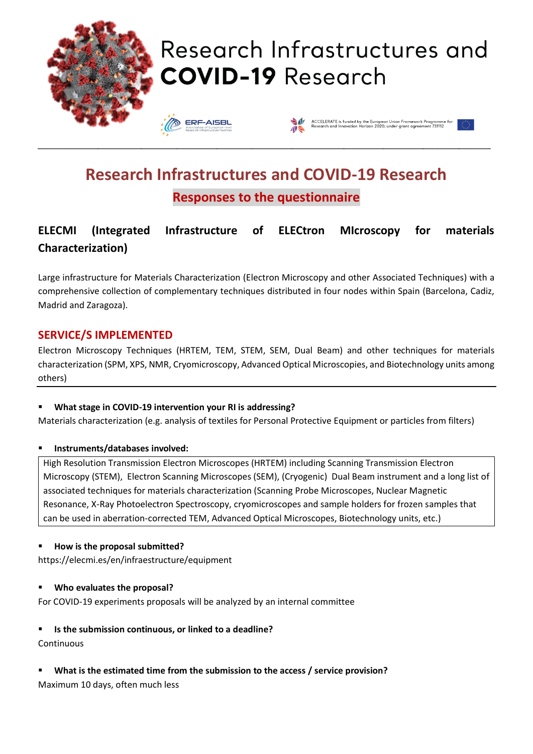

# **Research Infrastructures and COVID-19 Research Responses to the questionnaire**

## **ELECMI (Integrated Infrastructure of ELECtron MIcroscopy for materials Characterization)**

Large infrastructure for Materials Characterization (Electron Microscopy and other Associated Techniques) with a comprehensive collection of complementary techniques distributed in four nodes within Spain (Barcelona, Cadiz, Madrid and Zaragoza).

#### **SERVICE/S IMPLEMENTED**

Electron Microscopy Techniques (HRTEM, TEM, STEM, SEM, Dual Beam) and other techniques for materials characterization (SPM, XPS, NMR, Cryomicroscopy, Advanced Optical Microscopies, and Biotechnology units among others)

#### What stage in COVID-19 intervention your RI is addressing?

Materials characterization (e.g. analysis of textiles for Personal Protective Equipment or particles from filters)

#### ▪ **Instruments/databases involved:**

High Resolution Transmission Electron Microscopes (HRTEM) including Scanning Transmission Electron Microscopy (STEM), Electron Scanning Microscopes (SEM), (Cryogenic) Dual Beam instrument and a long list of associated techniques for materials characterization (Scanning Probe Microscopes, Nuclear Magnetic Resonance, X-Ray Photoelectron Spectroscopy, cryomicroscopes and sample holders for frozen samples that can be used in aberration-corrected TEM, Advanced Optical Microscopes, Biotechnology units, etc.)

#### ▪ **How is the proposal submitted?**

https://elecmi.es/en/infraestructure/equipment

#### ▪ **Who evaluates the proposal?**

For COVID-19 experiments proposals will be analyzed by an internal committee

#### ▪ **Is the submission continuous, or linked to a deadline?**

#### **Continuous**

What is the estimated time from the submission to the access / service provision? Maximum 10 days, often much less